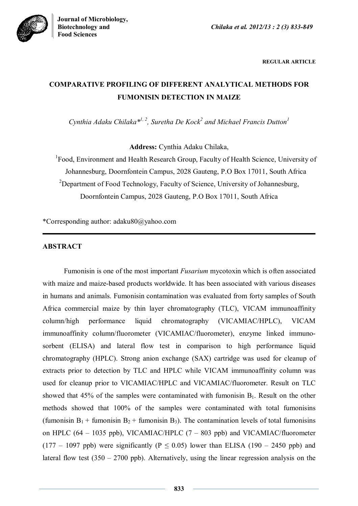



**REGULAR ARTICLE**

# **COMPARATIVE PROFILING OF DIFFERENT ANALYTICAL METHODS FOR FUMONISIN DETECTION IN MAIZE**

*Cynthia Adaku Chilaka*<sup>\*1, 2</sup>, Suretha De Kock<sup>2</sup> and Michael Francis Dutton<sup>1</sup>

**Address:** Cynthia Adaku Chilaka,

<sup>1</sup>Food, Environment and Health Research Group, Faculty of Health Science, University of Johannesburg, Doornfontein Campus, 2028 Gauteng, P.O Box 17011, South Africa <sup>2</sup>Department of Food Technology, Faculty of Science, University of Johannesburg, Doornfontein Campus, 2028 Gauteng, P.O Box 17011, South Africa

\*Corresponding author: adaku80@yahoo.com

## **ABSTRACT**

Fumonisin is one of the most important *Fusarium* mycotoxin which is often associated with maize and maize-based products worldwide. It has been associated with various diseases in humans and animals. Fumonisin contamination was evaluated from forty samples of South Africa commercial maize by thin layer chromatography (TLC), VICAM immunoaffinity column/high performance liquid chromatography (VICAMIAC/HPLC), VICAM immunoaffinity column/fluorometer (VICAMIAC/fluorometer), enzyme linked immunosorbent (ELISA) and lateral flow test in comparison to high performance liquid chromatography (HPLC). Strong anion exchange (SAX) cartridge was used for cleanup of extracts prior to detection by TLC and HPLC while VICAM immunoaffinity column was used for cleanup prior to VICAMIAC/HPLC and VICAMIAC/fluorometer. Result on TLC showed that  $45\%$  of the samples were contaminated with fumonisin  $B_1$ . Result on the other methods showed that 100% of the samples were contaminated with total fumonisins (fumonisin  $B_1$  + fumonisin  $B_2$  + fumonisin  $B_3$ ). The contamination levels of total fumonisins on HPLC  $(64 - 1035$  ppb), VICAMIAC/HPLC  $(7 - 803$  ppb) and VICAMIAC/fluorometer  $(177 - 1097$  ppb) were significantly (P  $\leq$  0.05) lower than ELISA (190 – 2450 ppb) and lateral flow test  $(350 - 2700 \text{ pb})$ . Alternatively, using the linear regression analysis on the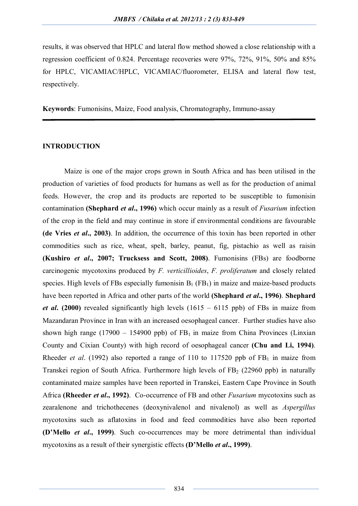results, it was observed that HPLC and lateral flow method showed a close relationship with a regression coefficient of 0.824. Percentage recoveries were 97%, 72%, 91%, 50% and 85% for HPLC, VICAMIAC/HPLC, VICAMIAC/fluorometer, ELISA and lateral flow test, respectively.

**Keywords**: Fumonisins, Maize, Food analysis, Chromatography, Immuno-assay

## **INTRODUCTION**

Maize is one of the major crops grown in South Africa and has been utilised in the production of varieties of food products for humans as well as for the production of animal feeds. However, the crop and its products are reported to be susceptible to fumonisin contamination **(Shephard** *et al***., 1996)** which occur mainly as a result of *Fusarium* infection of the crop in the field and may continue in store if environmental conditions are favourable **(de Vries** *et al***., 2003)**. In addition, the occurrence of this toxin has been reported in other commodities such as rice, wheat, spelt, barley, peanut, fig, pistachio as well as raisin **(Kushiro** *et al***., 2007; Trucksess and Scott, 2008)**. Fumonisins (FBs) are foodborne carcinogenic mycotoxins produced by *F. verticillioides*, *F. proliferatum* and closely related species. High levels of FBs especially fumonisin  $B_1$  (FB<sub>1</sub>) in maize and maize-based products have been reported in Africa and other parts of the world **(Shephard** *et al***., 1996)**. **Shephard**  *et al***. (2000)** revealed significantly high levels (1615 – 6115 ppb) of FBs in maize from Mazandaran Province in Iran with an increased oesophageal cancer. Further studies have also shown high range (17900 – 154900 ppb) of  $FB<sub>1</sub>$  in maize from China Provinces (Linxian County and Cixian County) with high record of oesophageal cancer **(Chu and Li, 1994)**. Rheeder *et al.* (1992) also reported a range of 110 to 117520 ppb of  $FB<sub>1</sub>$  in maize from Transkei region of South Africa. Furthermore high levels of  $FB<sub>2</sub>$  (22960 ppb) in naturally contaminated maize samples have been reported in Transkei, Eastern Cape Province in South Africa **(Rheeder** *et al***., 1992)**. Co-occurrence of FB and other *Fusarium* mycotoxins such as zearalenone and trichothecenes (deoxynivalenol and nivalenol) as well as *Aspergillus* mycotoxins such as aflatoxins in food and feed commodities have also been reported **(D'Mello** *et al***., 1999)**. Such co-occurrences may be more detrimental than individual mycotoxins as a result of their synergistic effects **(D'Mello** *et al***., 1999)**.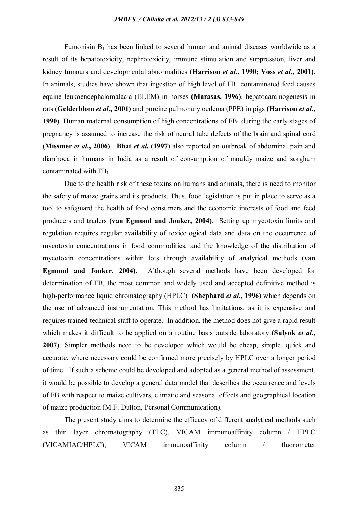Fumonisin  $B_1$  has been linked to several human and animal diseases worldwide as a result of its hepatotoxicity, nephrotoxicity, immune stimulation and suppression, liver and kidney tumours and developmental abnormalities **(Harrison** *et al***., 1990; Voss** *et al***., 2001)**. In animals, studies have shown that ingestion of high level of  $FB<sub>1</sub>$  contaminated feed causes equine leukoencephalomalacia (ELEM) in horses **(Marasas, 1996)**, hepatocarcinogenesis in rats **(Gelderblom** *et al***., 2001)** and porcine pulmonary oedema (PPE) in pigs **(Harrison** *et al***., 1990**). Human maternal consumption of high concentrations of FB<sub>1</sub> during the early stages of pregnancy is assumed to increase the risk of neural tube defects of the brain and spinal cord **(Missmer** *et al***., 2006)**. **Bhat** *et al***. (1997)** also reported an outbreak of abdominal pain and diarrhoea in humans in India as a result of consumption of mouldy maize and sorghum contaminated with  $FB<sub>1</sub>$ .

Due to the health risk of these toxins on humans and animals, there is need to monitor the safety of maize grains and its products. Thus, food legislation is put in place to serve as a tool to safeguard the health of food consumers and the economic interests of food and feed producers and traders **(van Egmond and Jonker, 2004)**. Setting up mycotoxin limits and regulation requires regular availability of toxicological data and data on the occurrence of mycotoxin concentrations in food commodities, and the knowledge of the distribution of mycotoxin concentrations within lots through availability of analytical methods **(van Egmond and Jonker, 2004)**. Although several methods have been developed for determination of FB, the most common and widely used and accepted definitive method is high-performance liquid chromatography (HPLC) **(Shephard** *et al***., 1996)** which depends on the use of advanced instrumentation. This method has limitations, as it is expensive and requires trained technical staff to operate. In addition, the method does not give a rapid result which makes it difficult to be applied on a routine basis outside laboratory **(Sulyok** *et al***., 2007)**. Simpler methods need to be developed which would be cheap, simple, quick and accurate, where necessary could be confirmed more precisely by HPLC over a longer period of time. If such a scheme could be developed and adopted as a general method of assessment, it would be possible to develop a general data model that describes the occurrence and levels of FB with respect to maize cultivars, climatic and seasonal effects and geographical location of maize production (M.F. Dutton, Personal Communication).

The present study aims to determine the efficacy of different analytical methods such as thin layer chromatography (TLC), VICAM immunoaffinity column / HPLC (VICAMIAC/HPLC), VICAM immunoaffinity column / fluorometer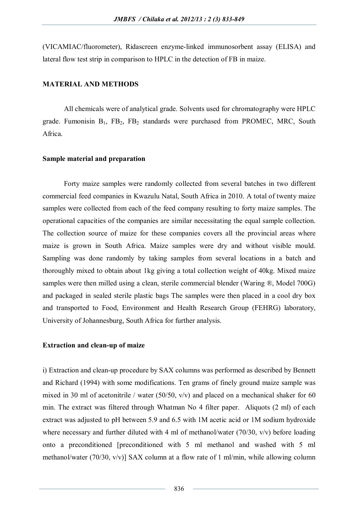(VICAMIAC/fluorometer), Ridascreen enzyme-linked immunosorbent assay (ELISA) and lateral flow test strip in comparison to HPLC in the detection of FB in maize.

## **MATERIAL AND METHODS**

All chemicals were of analytical grade. Solvents used for chromatography were HPLC grade. Fumonisin  $B_1$ ,  $FB_2$ ,  $FB_2$  standards were purchased from PROMEC, MRC, South Africa.

## **Sample material and preparation**

Forty maize samples were randomly collected from several batches in two different commercial feed companies in Kwazulu Natal, South Africa in 2010. A total of twenty maize samples were collected from each of the feed company resulting to forty maize samples. The operational capacities of the companies are similar necessitating the equal sample collection. The collection source of maize for these companies covers all the provincial areas where maize is grown in South Africa. Maize samples were dry and without visible mould. Sampling was done randomly by taking samples from several locations in a batch and thoroughly mixed to obtain about 1kg giving a total collection weight of 40kg. Mixed maize samples were then milled using a clean, sterile commercial blender (Waring ®, Model 700G) and packaged in sealed sterile plastic bags The samples were then placed in a cool dry box and transported to Food, Environment and Health Research Group (FEHRG) laboratory, University of Johannesburg, South Africa for further analysis.

## **Extraction and clean-up of maize**

i) Extraction and clean-up procedure by SAX columns was performed as described by Bennett and Richard (1994) with some modifications. Ten grams of finely ground maize sample was mixed in 30 ml of acetonitrile / water (50/50,  $v/v$ ) and placed on a mechanical shaker for 60 min. The extract was filtered through Whatman No 4 filter paper. Aliquots (2 ml) of each extract was adjusted to pH between 5.9 and 6.5 with 1M acetic acid or 1M sodium hydroxide where necessary and further diluted with 4 ml of methanol/water (70/30, v/v) before loading onto a preconditioned [preconditioned with 5 ml methanol and washed with 5 ml methanol/water (70/30, v/v)] SAX column at a flow rate of 1 ml/min, while allowing column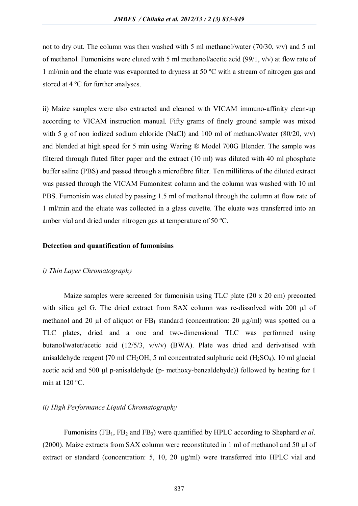not to dry out. The column was then washed with 5 ml methanol/water (70/30, v/v) and 5 ml of methanol. Fumonisins were eluted with 5 ml methanol/acetic acid (99/1, v/v) at flow rate of 1 ml/min and the eluate was evaporated to dryness at 50 ºC with a stream of nitrogen gas and stored at 4 ºC for further analyses.

ii) Maize samples were also extracted and cleaned with VICAM immuno-affinity clean-up according to VICAM instruction manual. Fifty grams of finely ground sample was mixed with 5 g of non iodized sodium chloride (NaCl) and 100 ml of methanol/water  $(80/20, v/v)$ and blended at high speed for 5 min using Waring ® Model 700G Blender. The sample was filtered through fluted filter paper and the extract (10 ml) was diluted with 40 ml phosphate buffer saline (PBS) and passed through a microfibre filter. Ten millilitres of the diluted extract was passed through the VICAM Fumonitest column and the column was washed with 10 ml PBS. Fumonisin was eluted by passing 1.5 ml of methanol through the column at flow rate of 1 ml/min and the eluate was collected in a glass cuvette. The eluate was transferred into an amber vial and dried under nitrogen gas at temperature of 50 ºC.

## **Detection and quantification of fumonisins**

## *i) Thin Layer Chromatography*

Maize samples were screened for fumonisin using TLC plate (20 x 20 cm) precoated with silica gel G. The dried extract from SAX column was re-dissolved with 200 µl of methanol and 20  $\mu$ l of aliquot or FB<sub>1</sub> standard (concentration: 20  $\mu$ g/ml) was spotted on a TLC plates, dried and a one and two-dimensional TLC was performed using butanol/water/acetic acid (12/5/3, v/v/v) (BWA). Plate was dried and derivatised with anisaldehyde reagent (70 ml CH<sub>3</sub>OH, 5 ml concentrated sulphuric acid (H<sub>2</sub>SO<sub>4</sub>), 10 ml glacial acetic acid and 500  $\mu$ l p-anisaldehyde (p- methoxy-benzaldehyde)) followed by heating for 1 min at 120 ºC.

## *ii) High Performance Liquid Chromatography*

Fumonisins (FB<sub>1</sub>, FB<sub>2</sub> and FB<sub>3</sub>) were quantified by HPLC according to Shephard *et al.* (2000). Maize extracts from SAX column were reconstituted in 1 ml of methanol and 50 µl of extract or standard (concentration: 5, 10, 20  $\mu$ g/ml) were transferred into HPLC vial and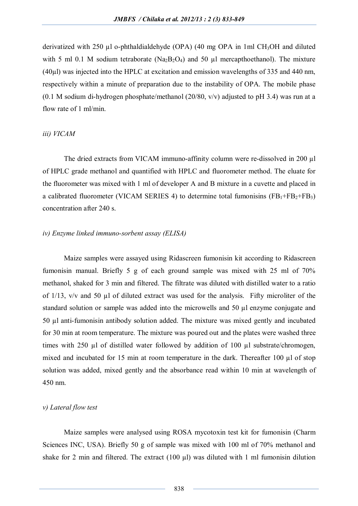derivatized with 250  $\mu$ l o-phthaldialdehyde (OPA) (40 mg OPA in 1ml CH<sub>3</sub>OH and diluted with 5 ml 0.1 M sodium tetraborate (Na<sub>2</sub>B<sub>2</sub>O<sub>4</sub>) and 50  $\mu$ l mercapthoethanol). The mixture (40µl) was injected into the HPLC at excitation and emission wavelengths of 335 and 440 nm, respectively within a minute of preparation due to the instability of OPA. The mobile phase (0.1 M sodium di-hydrogen phosphate/methanol (20/80,  $v/v$ ) adjusted to pH 3.4) was run at a flow rate of 1 ml/min.

#### *iii) VICAM*

The dried extracts from VICAM immuno-affinity column were re-dissolved in 200 µl of HPLC grade methanol and quantified with HPLC and fluorometer method. The eluate for the fluorometer was mixed with 1 ml of developer A and B mixture in a cuvette and placed in a calibrated fluorometer (VICAM SERIES 4) to determine total fumonisins  $(FB_1 + FB_2 + FB_3)$ concentration after 240 s.

## *iv) Enzyme linked immuno-sorbent assay (ELISA)*

Maize samples were assayed using Ridascreen fumonisin kit according to Ridascreen fumonisin manual. Briefly 5 g of each ground sample was mixed with 25 ml of 70% methanol, shaked for 3 min and filtered. The filtrate was diluted with distilled water to a ratio of 1/13, v/v and 50 µl of diluted extract was used for the analysis. Fifty microliter of the standard solution or sample was added into the microwells and 50 µl enzyme conjugate and 50 µl anti-fumonisin antibody solution added. The mixture was mixed gently and incubated for 30 min at room temperature. The mixture was poured out and the plates were washed three times with 250 µl of distilled water followed by addition of 100 µl substrate/chromogen, mixed and incubated for 15 min at room temperature in the dark. Thereafter 100 µl of stop solution was added, mixed gently and the absorbance read within 10 min at wavelength of 450 nm.

## *v) Lateral flow test*

Maize samples were analysed using ROSA mycotoxin test kit for fumonisin (Charm Sciences INC, USA). Briefly 50 g of sample was mixed with 100 ml of 70% methanol and shake for 2 min and filtered. The extract  $(100 \mu l)$  was diluted with 1 ml fumonisin dilution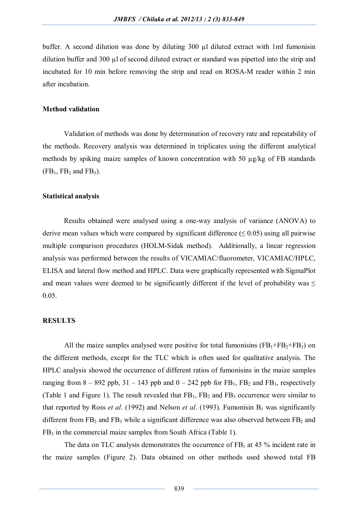buffer. A second dilution was done by diluting 300 µl diluted extract with 1ml fumonisin dilution buffer and 300 µl of second diluted extract or standard was pipetted into the strip and incubated for 10 min before removing the strip and read on ROSA-M reader within 2 min after incubation.

## **Method validation**

Validation of methods was done by determination of recovery rate and repeatability of the methods. Recovery analysis was determined in triplicates using the different analytical methods by spiking maize samples of known concentration with 50 µg/kg of FB standards  $(FB_1, FB_2 \text{ and } FB_3).$ 

## **Statistical analysis**

Results obtained were analysed using a one-way analysis of variance (ANOVA) to derive mean values which were compared by significant difference ( $\leq 0.05$ ) using all pairwise multiple comparison procedures (HOLM-Sidak method). Additionally, a linear regression analysis was performed between the results of VICAMIAC/fluorometer, VICAMIAC/HPLC, ELISA and lateral flow method and HPLC. Data were graphically represented with SigmaPlot and mean values were deemed to be significantly different if the level of probability was  $\leq$ 0.05.

## **RESULTS**

All the maize samples analysed were positive for total fumonisins  $(FB_1 + FB_2 + FB_3)$  on the different methods, except for the TLC which is often used for qualitative analysis. The HPLC analysis showed the occurrence of different ratios of fumonisins in the maize samples ranging from  $8 - 892$  ppb,  $31 - 143$  ppb and  $0 - 242$  ppb for  $FB_1$ ,  $FB_2$  and  $FB_3$ , respectively (Table 1 and Figure 1). The result revealed that  $FB_1$ ,  $FB_2$  and  $FB_3$  occurrence were similar to that reported by Ross *et al.* (1992) and Nelson *et al.* (1993). Fumonisin  $B_1$  was significantly different from  $FB_2$  and  $FB_3$  while a significant difference was also observed between  $FB_2$  and  $FB<sub>3</sub>$  in the commercial maize samples from South Africa (Table 1).

The data on TLC analysis demonstrates the occurrence of  $FB<sub>1</sub>$  at 45 % incident rate in the maize samples (Figure 2). Data obtained on other methods used showed total FB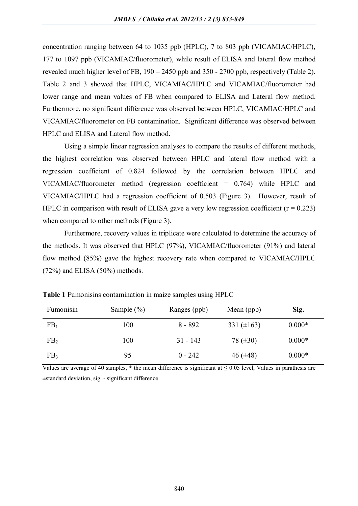concentration ranging between 64 to 1035 ppb (HPLC), 7 to 803 ppb (VICAMIAC/HPLC), 177 to 1097 ppb (VICAMIAC/fluorometer), while result of ELISA and lateral flow method revealed much higher level of FB, 190 – 2450 ppb and 350 - 2700 ppb, respectively (Table 2). Table 2 and 3 showed that HPLC, VICAMIAC/HPLC and VICAMIAC/fluorometer had lower range and mean values of FB when compared to ELISA and Lateral flow method. Furthermore, no significant difference was observed between HPLC, VICAMIAC/HPLC and VICAMIAC/fluorometer on FB contamination. Significant difference was observed between HPLC and ELISA and Lateral flow method.

Using a simple linear regression analyses to compare the results of different methods, the highest correlation was observed between HPLC and lateral flow method with a regression coefficient of 0.824 followed by the correlation between HPLC and VICAMIAC/fluorometer method (regression coefficient = 0.764) while HPLC and VICAMIAC/HPLC had a regression coefficient of 0.503 (Figure 3). However, result of HPLC in comparison with result of ELISA gave a very low regression coefficient  $(r = 0.223)$ when compared to other methods (Figure 3).

Furthermore, recovery values in triplicate were calculated to determine the accuracy of the methods. It was observed that HPLC (97%), VICAMIAC/fluorometer (91%) and lateral flow method (85%) gave the highest recovery rate when compared to VICAMIAC/HPLC (72%) and ELISA (50%) methods.

| Fumonisin       | Sample $(\% )$ | Ranges (ppb) | Mean (ppb)      | Sig.     |
|-----------------|----------------|--------------|-----------------|----------|
| FB <sub>1</sub> | 100            | $8 - 892$    | 331 $(\pm 163)$ | $0.000*$ |
| FB <sub>2</sub> | 100            | $31 - 143$   | 78 $(\pm 30)$   | $0.000*$ |
| FB <sub>3</sub> | 95             | $0 - 242$    | 46 $(\pm 48)$   | $0.000*$ |

**Table 1** Fumonisins contamination in maize samples using HPLC

Values are average of 40 samples, \* the mean difference is significant at  $\leq 0.05$  level, Values in parathesis are ±standard deviation, sig. - significant difference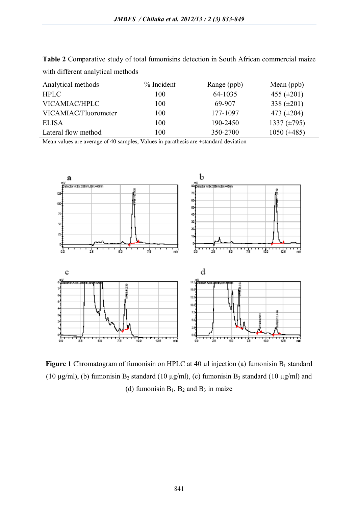**Table 2** Comparative study of total fumonisins detection in South African commercial maize with different analytical methods

| Analytical methods   | $%$ Incident | Range (ppb) | Mean (ppb)       |
|----------------------|--------------|-------------|------------------|
| <b>HPLC</b>          | 100          | 64-1035     | 455 $(\pm 201)$  |
| VICAMIAC/HPLC        | 100          | 69-907      | 338 $(\pm 201)$  |
| VICAMIAC/Fluorometer | 100          | 177-1097    | 473 $(\pm 204)$  |
| <b>ELISA</b>         | 100          | 190-2450    | 1337 $(\pm 795)$ |
| Lateral flow method  | 100          | 350-2700    | 1050 $(\pm 485)$ |

Mean values are average of 40 samples, Values in parathesis are ±standard deviation



**Figure 1** Chromatogram of fumonisin on HPLC at 40  $\mu$ l injection (a) fumonisin B<sub>1</sub> standard (10  $\mu$ g/ml), (b) fumonisin B<sub>2</sub> standard (10  $\mu$ g/ml), (c) fumonisin B<sub>3</sub> standard (10  $\mu$ g/ml) and (d) fumonisin  $B_1$ ,  $B_2$  and  $B_3$  in maize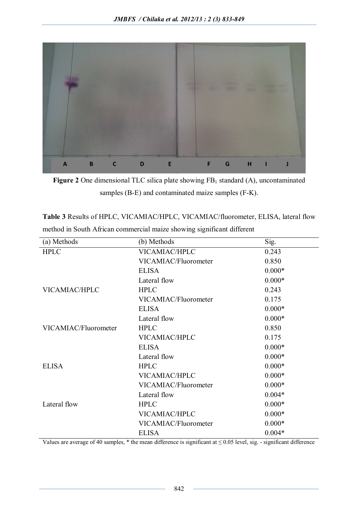

**Figure 2** One dimensional TLC silica plate showing  $FB<sub>1</sub>$  standard (A), uncontaminated samples (B-E) and contaminated maize samples (F-K).

**Table 3** Results of HPLC, VICAMIAC/HPLC, VICAMIAC/fluorometer, ELISA, lateral flow method in South African commercial maize showing significant different

| (a) Methods          | (b) Methods          | Sig.     |
|----------------------|----------------------|----------|
| <b>HPLC</b>          | VICAMIAC/HPLC        | 0.243    |
|                      | VICAMIAC/Fluorometer | 0.850    |
|                      | <b>ELISA</b>         | $0.000*$ |
|                      | Lateral flow         | $0.000*$ |
| VICAMIAC/HPLC        | <b>HPLC</b>          | 0.243    |
|                      | VICAMIAC/Fluorometer | 0.175    |
|                      | <b>ELISA</b>         | $0.000*$ |
|                      | Lateral flow         | $0.000*$ |
| VICAMIAC/Fluorometer | <b>HPLC</b>          | 0.850    |
|                      | VICAMIAC/HPLC        | 0.175    |
|                      | <b>ELISA</b>         | $0.000*$ |
|                      | Lateral flow         | $0.000*$ |
| <b>ELISA</b>         | <b>HPLC</b>          | $0.000*$ |
|                      | VICAMIAC/HPLC        | $0.000*$ |
|                      | VICAMIAC/Fluorometer | $0.000*$ |
|                      | Lateral flow         | $0.004*$ |
| Lateral flow         | <b>HPLC</b>          | $0.000*$ |
|                      | VICAMIAC/HPLC        | $0.000*$ |
|                      | VICAMIAC/Fluorometer | $0.000*$ |
|                      | <b>ELISA</b>         | $0.004*$ |

Values are average of 40 samples,  $*$  the mean difference is significant at  $\leq 0.05$  level, sig. - significant difference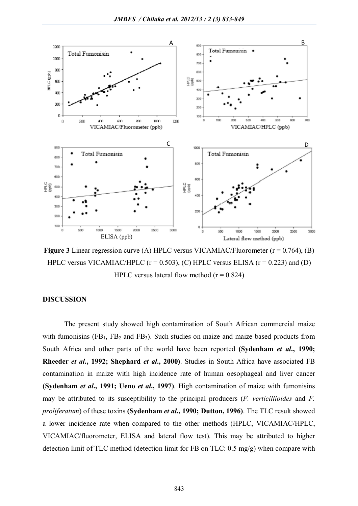

**Figure 3** Linear regression curve (A) HPLC versus VICAMIAC/Fluorometer ( $r = 0.764$ ), (B) HPLC versus VICAMIAC/HPLC  $(r = 0.503)$ ,  $(C)$  HPLC versus ELISA  $(r = 0.223)$  and  $(D)$ HPLC versus lateral flow method  $(r = 0.824)$ 

## **DISCUSSION**

The present study showed high contamination of South African commercial maize with fumonisins  $(FB_1, FB_2, and FB_3)$ . Such studies on maize and maize-based products from South Africa and other parts of the world have been reported **(Sydenham** *et al***., 1990; Rheeder** *et al***., 1992; Shephard** *et al***., 2000)**. Studies in South Africa have associated FB contamination in maize with high incidence rate of human oesophageal and liver cancer **(Sydenham** *et al***., 1991; Ueno** *et al***., 1997)**. High contamination of maize with fumonisins may be attributed to its susceptibility to the principal producers (*F. verticillioides* and *F. proliferatum*) of these toxins **(Sydenham** *et al***., 1990; Dutton, 1996)**. The TLC result showed a lower incidence rate when compared to the other methods (HPLC, VICAMIAC/HPLC, VICAMIAC/fluorometer, ELISA and lateral flow test). This may be attributed to higher detection limit of TLC method (detection limit for FB on TLC: 0.5 mg/g) when compare with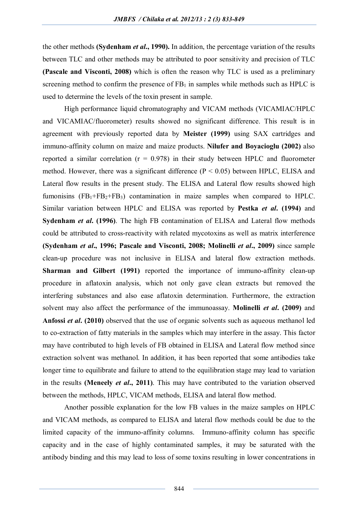the other methods **(Sydenham** *et al***., 1990).** In addition, the percentage variation of the results between TLC and other methods may be attributed to poor sensitivity and precision of TLC **(Pascale and Visconti, 2008)** which is often the reason why TLC is used as a preliminary screening method to confirm the presence of  $FB<sub>1</sub>$  in samples while methods such as HPLC is used to determine the levels of the toxin present in sample.

High performance liquid chromatography and VICAM methods (VICAMIAC/HPLC and VICAMIAC/fluorometer) results showed no significant difference. This result is in agreement with previously reported data by **Meister (1999)** using SAX cartridges and immuno-affinity column on maize and maize products. **Nilufer and Boyacioglu (2002)** also reported a similar correlation  $(r = 0.978)$  in their study between HPLC and fluorometer method. However, there was a significant difference  $(P < 0.05)$  between HPLC, ELISA and Lateral flow results in the present study. The ELISA and Lateral flow results showed high fumonisins  $(FB_1 + FB_2 + FB_3)$  contamination in maize samples when compared to HPLC. Similar variation between HPLC and ELISA was reported by **Pestka** *et al***. (1994)** and **Sydenham** *et al***. (1996)**. The high FB contamination of ELISA and Lateral flow methods could be attributed to cross-reactivity with related mycotoxins as well as matrix interference **(Sydenham** *et al***., 1996; Pascale and Visconti, 2008; Molinelli** *et al***., 2009)** since sample clean-up procedure was not inclusive in ELISA and lateral flow extraction methods. **Sharman and Gilbert (1991)** reported the importance of immuno-affinity clean-up procedure in aflatoxin analysis, which not only gave clean extracts but removed the interfering substances and also ease aflatoxin determination. Furthermore, the extraction solvent may also affect the performance of the immunoassay. **Molinelli** *et al***. (2009)** and **Anfossi** *et al***. (2010)** observed that the use of organic solvents such as aqueous methanol led to co-extraction of fatty materials in the samples which may interfere in the assay. This factor may have contributed to high levels of FB obtained in ELISA and Lateral flow method since extraction solvent was methanol. In addition, it has been reported that some antibodies take longer time to equilibrate and failure to attend to the equilibration stage may lead to variation in the results **(Meneely** *et al***., 2011)**. This may have contributed to the variation observed between the methods, HPLC, VICAM methods, ELISA and lateral flow method.

Another possible explanation for the low FB values in the maize samples on HPLC and VICAM methods, as compared to ELISA and lateral flow methods could be due to the limited capacity of the immuno-affinity columns. Immuno-affinity column has specific capacity and in the case of highly contaminated samples, it may be saturated with the antibody binding and this may lead to loss of some toxins resulting in lower concentrations in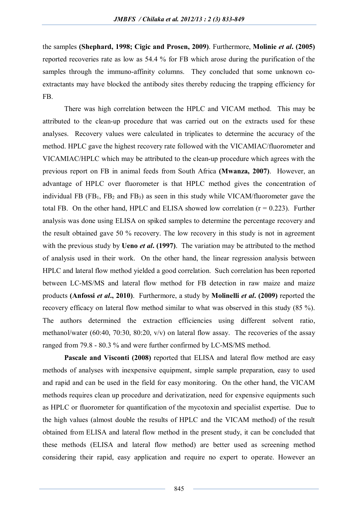the samples **(Shephard, 1998; Cigic and Prosen, 2009)**. Furthermore, **Molinie** *et al***. (2005)**  reported recoveries rate as low as 54.4 % for FB which arose during the purification of the samples through the immuno-affinity columns. They concluded that some unknown coextractants may have blocked the antibody sites thereby reducing the trapping efficiency for FB.

There was high correlation between the HPLC and VICAM method. This may be attributed to the clean-up procedure that was carried out on the extracts used for these analyses. Recovery values were calculated in triplicates to determine the accuracy of the method. HPLC gave the highest recovery rate followed with the VICAMIAC/fluorometer and VICAMIAC/HPLC which may be attributed to the clean-up procedure which agrees with the previous report on FB in animal feeds from South Africa **(Mwanza, 2007)**. However, an advantage of HPLC over fluorometer is that HPLC method gives the concentration of individual FB  $(FB_1, FB_2, and FB_3)$  as seen in this study while VICAM/fluorometer gave the total FB. On the other hand, HPLC and ELISA showed low correlation  $(r = 0.223)$ . Further analysis was done using ELISA on spiked samples to determine the percentage recovery and the result obtained gave 50 % recovery. The low recovery in this study is not in agreement with the previous study by **Ueno** *et al***. (1997)**. The variation may be attributed to the method of analysis used in their work. On the other hand, the linear regression analysis between HPLC and lateral flow method yielded a good correlation. Such correlation has been reported between LC-MS/MS and lateral flow method for FB detection in raw maize and maize products **(Anfossi** *et al***., 2010)**. Furthermore, a study by **Molinelli** *et al***. (2009)** reported the recovery efficacy on lateral flow method similar to what was observed in this study (85 %). The authors determined the extraction efficiencies using different solvent ratio, methanol/water (60:40, 70:30, 80:20, v/v) on lateral flow assay. The recoveries of the assay ranged from 79.8 - 80.3 % and were further confirmed by LC-MS/MS method.

**Pascale and Visconti (2008)** reported that ELISA and lateral flow method are easy methods of analyses with inexpensive equipment, simple sample preparation, easy to used and rapid and can be used in the field for easy monitoring. On the other hand, the VICAM methods requires clean up procedure and derivatization, need for expensive equipments such as HPLC or fluorometer for quantification of the mycotoxin and specialist expertise. Due to the high values (almost double the results of HPLC and the VICAM method) of the result obtained from ELISA and lateral flow method in the present study, it can be concluded that these methods (ELISA and lateral flow method) are better used as screening method considering their rapid, easy application and require no expert to operate. However an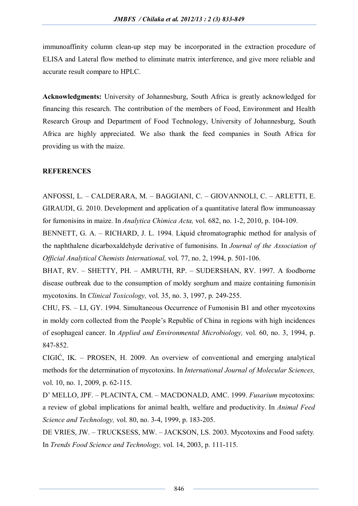immunoaffinity column clean-up step may be incorporated in the extraction procedure of ELISA and Lateral flow method to eliminate matrix interference, and give more reliable and accurate result compare to HPLC.

**Acknowledgments:** University of Johannesburg, South Africa is greatly acknowledged for financing this research. The contribution of the members of Food, Environment and Health Research Group and Department of Food Technology, University of Johannesburg, South Africa are highly appreciated. We also thank the feed companies in South Africa for providing us with the maize.

## **REFERENCES**

ANFOSSI, L. – CALDERARA, M. – BAGGIANI, C. – GIOVANNOLI, C. – ARLETTI, E. GIRAUDI, G. 2010. Development and application of a quantitative lateral flow immunoassay for fumonisins in maize. In *Analytica Chimica Acta,* vol. 682, no. 1-2, 2010, p. 104-109.

BENNETT, G. A. – RICHARD, J. L. 1994. Liquid chromatographic method for analysis of the naphthalene dicarboxaldehyde derivative of fumonisins. In *Journal of the Association of Official Analytical Chemists International,* vol. 77, no. 2, 1994, p. 501-106.

BHAT, RV. – SHETTY, PH. – AMRUTH, RP. – SUDERSHAN, RV. 1997. A foodborne disease outbreak due to the consumption of moldy sorghum and maize containing fumonisin mycotoxins. In *Clinical Toxicology,* vol. 35, no. 3, 1997, p. 249-255.

CHU, FS. – LI, GY. 1994. Simultaneous Occurrence of Fumonisin B1 and other mycotoxins in moldy corn collected from the People's Republic of China in regions with high incidences of esophageal cancer. In *Applied and Environmental Microbiology,* vol. 60, no. 3, 1994, p. 847-852.

CIGIĆ, IK. – PROSEN, H. 2009. An overview of conventional and emerging analytical methods for the determination of mycotoxins. In *International Journal of Molecular Sciences,* vol. 10, no. 1, 2009, p. 62-115.

D' MELLO, JPF. – PLACINTA, CM. – MACDONALD, AMC. 1999. *Fusarium* mycotoxins: a review of global implications for animal health, welfare and productivity. In *Animal Feed Science and Technology,* vol. 80, no. 3-4, 1999, p. 183-205.

DE VRIES, JW. – TRUCKSESS, MW. – JACKSON, LS. 2003. Mycotoxins and Food safety*.*  In *Trends Food Science and Technology,* vol. 14, 2003, p. 111-115.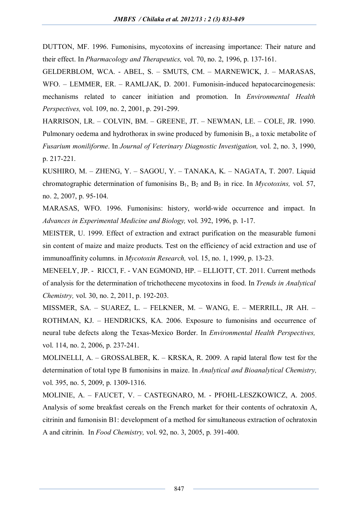DUTTON, MF. 1996. Fumonisins, mycotoxins of increasing importance: Their nature and their effect. In *Pharmacology and Therapeutics,* vol. 70, no. 2, 1996, p. 137-161.

GELDERBLOM, WCA. - ABEL, S. – SMUTS, CM. – MARNEWICK, J. – MARASAS, WFO. – LEMMER, ER. – RAMLJAK, D. 2001. Fumonisin-induced hepatocarcinogenesis: mechanisms related to cancer initiation and promotion. In *Environmental Health Perspectives,* vol. 109, no. 2, 2001, p. 291-299.

HARRISON, LR. – COLVIN, BM. – GREENE, JT. – NEWMAN, LE. – COLE, JR. 1990. Pulmonary oedema and hydrothorax in swine produced by fumonisin  $B_1$ , a toxic metabolite of *Fusarium moniliforme*. In *Journal of Veterinary Diagnostic Investigation,* vol. 2, no. 3, 1990, p. 217-221.

KUSHIRO, M. – ZHENG, Y. – SAGOU, Y. – TANAKA, K. – NAGATA, T. 2007. Liquid chromatographic determination of fumonisins  $B_1$ ,  $B_2$  and  $B_3$  in rice. In *Mycotoxins*, vol. 57, no. 2, 2007, p. 95-104.

MARASAS, WFO. 1996. Fumonisins: history, world-wide occurrence and impact. In *Advances in Experimental Medicine and Biology,* vol. 392, 1996, p. 1-17.

MEISTER, U. 1999. Effect of extraction and extract purification on the measurable fumoni sin content of maize and maize products. Test on the efficiency of acid extraction and use of immunoaffinity columns. in *Mycotoxin Research,* vol. 15, no. 1, 1999, p. 13-23.

MENEELY, JP. - RICCI, F. - VAN EGMOND, HP. – ELLIOTT, CT. 2011. Current methods of analysis for the determination of trichothecene mycotoxins in food. In *Trends in Analytical Chemistry,* vol. 30, no. 2, 2011, p. 192-203.

MISSMER, SA. – SUAREZ, L. – FELKNER, M. – WANG, E. – MERRILL, JR AH. – ROTHMAN, KJ. – HENDRICKS, KA. 2006. Exposure to fumonisins and occurrence of neural tube defects along the Texas-Mexico Border. In *Environmental Health Perspectives,* vol. 114, no. 2, 2006, p. 237-241.

MOLINELLI, A. – GROSSALBER, K. – KRSKA, R. 2009. A rapid lateral flow test for the determination of total type B fumonisins in maize. In *Analytical and Bioanalytical Chemistry,* vol. 395, no. 5, 2009, p. 1309-1316.

MOLINIE, A. – FAUCET, V. – CASTEGNARO, M. - PFOHL-LESZKOWICZ, A. 2005. Analysis of some breakfast cereals on the French market for their contents of ochratoxin A, citrinin and fumonisin B1: development of a method for simultaneous extraction of ochratoxin A and citrinin. In *Food Chemistry,* vol. 92, no. 3, 2005, p. 391-400.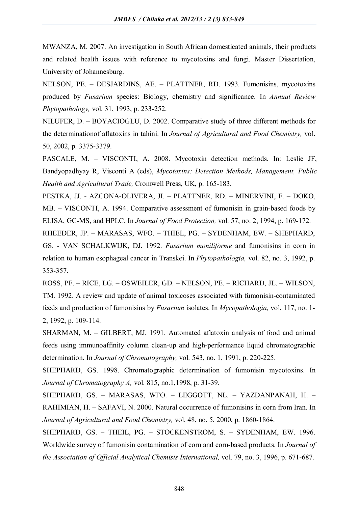MWANZA, M. 2007. An investigation in South African domesticated animals, their products and related health issues with reference to mycotoxins and fungi. Master Dissertation, University of Johannesburg.

NELSON, PE. – DESJARDINS, AE. – PLATTNER, RD. 1993. Fumonisins, mycotoxins produced by *Fusarium* species: Biology, chemistry and significance. In *Annual Review Phytopathology,* vol. 31, 1993, p. 233-252.

NILUFER, D. – BOYACIOGLU, D. 2002. Comparative study of three different methods for the determinationof aflatoxins in tahini. In *Journal of Agricultural and Food Chemistry,* vol. 50, 2002, p. 3375-3379.

PASCALE, M. – VISCONTI, A. 2008. Mycotoxin detection methods. In: Leslie JF, Bandyopadhyay R, Visconti A (eds), *Mycotoxins: Detection Methods, Management, Public Health and Agricultural Trade,* Cromwell Press, UK, p. 165-183.

PESTKA, JJ. - AZCONA-OLIVERA, JI. – PLATTNER, RD. – MINERVINI, F. – DOKO, MB. – VISCONTI, A. 1994. Comparative assessment of fumonisin in grain-based foods by ELISA, GC-MS, and HPLC. In *Journal of Food Protection,* vol. 57, no. 2, 1994, p. 169-172.

RHEEDER, JP. – MARASAS, WFO. – THIEL, PG. – SYDENHAM, EW. – SHEPHARD, GS. - VAN SCHALKWIJK, DJ. 1992. *Fusarium moniliforme* and fumonisins in corn in relation to human esophageal cancer in Transkei. In *Phytopathologia,* vol. 82, no. 3, 1992, p. 353-357.

ROSS, PF. – RICE, LG. – OSWEILER, GD. – NELSON, PE. – RICHARD, JL. – WILSON, TM. 1992. A review and update of animal toxicoses associated with fumonisin-contaminated feeds and production of fumonisins by *Fusarium* isolates. In *Mycopathologia,* vol. 117, no. 1- 2, 1992, p. 109-114.

SHARMAN, M. – GILBERT, MJ. 1991. Automated aflatoxin analysis of food and animal feeds using immunoaffinity column clean-up and high-performance liquid chromatographic determination. In *Journal of Chromatography,* vol. 543, no. 1, 1991, p. 220-225.

SHEPHARD, GS. 1998. Chromatographic determination of fumonisin mycotoxins. In *Journal of Chromatography A,* vol. 815, no.1,1998, p. 31-39.

SHEPHARD, GS. – MARASAS, WFO. – LEGGOTT, NL. – YAZDANPANAH, H. – RAHIMIAN, H. – SAFAVI, N. 2000. Natural occurrence of fumonisins in corn from Iran. In *Journal of Agricultural and Food Chemistry,* vol*.* 48, no. 5, 2000, p. 1860-1864.

SHEPHARD, GS. – THEIL, PG. – STOCKENSTROM, S. – SYDENHAM, EW. 1996. Worldwide survey of fumonisin contamination of corn and corn-based products. In *Journal of the Association of Official Analytical Chemists International,* vol. 79, no. 3, 1996, p. 671-687.